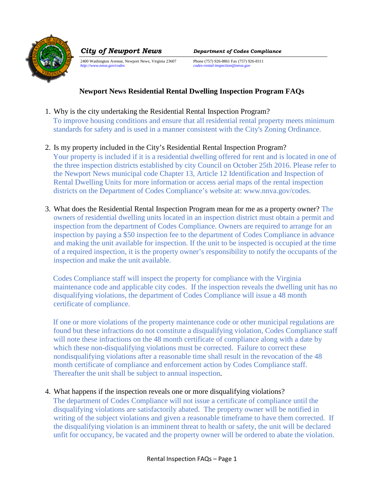

2400 Washington Avenue, Newport News, Virginia 23607 Phone (757) 926-8861 Fax (757) 926-8311<br>
http://www.nnva.gov/codes<br>
ecodes-rental-inspection@nnva.gov

*City of Newport News Department of Codes Compliance*

*http://www.nnva.gov/codes codes-rental-inspection@nnva.gov* 

# **Newport News Residential Rental Dwelling Inspection Program FAQs**

- 1. Why is the city undertaking the Residential Rental Inspection Program? To improve housing conditions and ensure that all residential rental property meets minimum standards for safety and is used in a manner consistent with the City's Zoning Ordinance.
- 2. Is my property included in the City's Residential Rental Inspection Program? Your property is included if it is a residential dwelling offered for rent and is located in one of the three inspection districts established by city Council on October 25th 2016. Please refer to the Newport News municipal code Chapter 13, Article 12 Identification and Inspection of Rental Dwelling Units for more information or access aerial maps of the rental inspection districts on the Department of Codes Compliance's website at: www.nnva.gov/codes.
- 3. What does the Residential Rental Inspection Program mean for me as a property owner? The owners of residential dwelling units located in an inspection district must obtain a permit and inspection from the department of Codes Compliance. Owners are required to arrange for an inspection by paying a \$50 inspection fee to the department of Codes Compliance in advance and making the unit available for inspection. If the unit to be inspected is occupied at the time of a required inspection, it is the property owner's responsibility to notify the occupants of the inspection and make the unit available.

Codes Compliance staff will inspect the property for compliance with the Virginia maintenance code and applicable city codes. If the inspection reveals the dwelling unit has no disqualifying violations, the department of Codes Compliance will issue a 48 month certificate of compliance.

If one or more violations of the property maintenance code or other municipal regulations are found but these infractions do not constitute a disqualifying violation, Codes Compliance staff will note these infractions on the 48 month certificate of compliance along with a date by which these non-disqualifying violations must be corrected. Failure to correct these nondisqualifying violations after a reasonable time shall result in the revocation of the 48 month certificate of compliance and enforcement action by Codes Compliance staff. Thereafter the unit shall be subject to annual inspection.

### 4. What happens if the inspection reveals one or more disqualifying violations?

The department of Codes Compliance will not issue a certificate of compliance until the disqualifying violations are satisfactorily abated. The property owner will be notified in writing of the subject violations and given a reasonable timeframe to have them corrected. If the disqualifying violation is an imminent threat to health or safety, the unit will be declared unfit for occupancy, be vacated and the property owner will be ordered to abate the violation.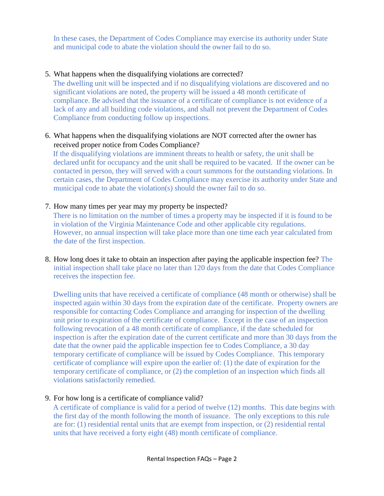In these cases, the Department of Codes Compliance may exercise its authority under State and municipal code to abate the violation should the owner fail to do so.

### 5. What happens when the disqualifying violations are corrected?

The dwelling unit will be inspected and if no disqualifying violations are discovered and no significant violations are noted, the property will be issued a 48 month certificate of compliance. Be advised that the issuance of a certificate of compliance is not evidence of a lack of any and all building code violations, and shall not prevent the Department of Codes Compliance from conducting follow up inspections.

## 6. What happens when the disqualifying violations are NOT corrected after the owner has received proper notice from Codes Compliance?

If the disqualifying violations are imminent threats to health or safety, the unit shall be declared unfit for occupancy and the unit shall be required to be vacated. If the owner can be contacted in person, they will served with a court summons for the outstanding violations. In certain cases, the Department of Codes Compliance may exercise its authority under State and municipal code to abate the violation(s) should the owner fail to do so.

### 7. How many times per year may my property be inspected?

There is no limitation on the number of times a property may be inspected if it is found to be in violation of the Virginia Maintenance Code and other applicable city regulations. However, no annual inspection will take place more than one time each year calculated from the date of the first inspection.

8. How long does it take to obtain an inspection after paying the applicable inspection fee? The initial inspection shall take place no later than 120 days from the date that Codes Compliance receives the inspection fee.

Dwelling units that have received a certificate of compliance (48 month or otherwise) shall be inspected again within 30 days from the expiration date of the certificate. Property owners are responsible for contacting Codes Compliance and arranging for inspection of the dwelling unit prior to expiration of the certificate of compliance. Except in the case of an inspection following revocation of a 48 month certificate of compliance, if the date scheduled for inspection is after the expiration date of the current certificate and more than 30 days from the date that the owner paid the applicable inspection fee to Codes Compliance, a 30 day temporary certificate of compliance will be issued by Codes Compliance. This temporary certificate of compliance will expire upon the earlier of: (1) the date of expiration for the temporary certificate of compliance, or (2) the completion of an inspection which finds all violations satisfactorily remedied.

### 9. For how long is a certificate of compliance valid?

A certificate of compliance is valid for a period of twelve (12) months. This date begins with the first day of the month following the month of issuance. The only exceptions to this rule are for: (1) residential rental units that are exempt from inspection, or (2) residential rental units that have received a forty eight (48) month certificate of compliance.